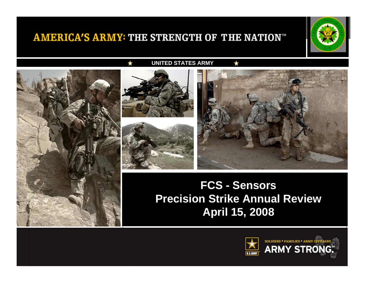

**UNITED STATES ARMY**





## **Precision Strike Annual Review Approach April 15, 2008LTG Stephen Speakes FCS - Sensors**

 $\frac{1}{2}$ 

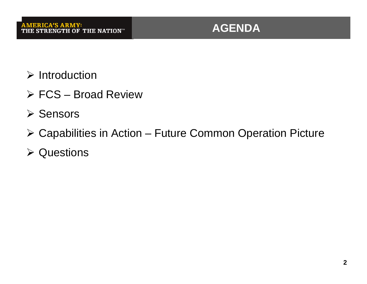

- $\triangleright$  Introduction
- ¾ FCS Broad Review
- ¾ Sensors
- ¾ Capabilities in Action Future Common Operation Picture
- **≻ Questions**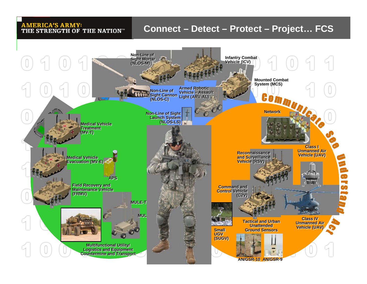### **Connect – Detect – Protect – Project… FCS**

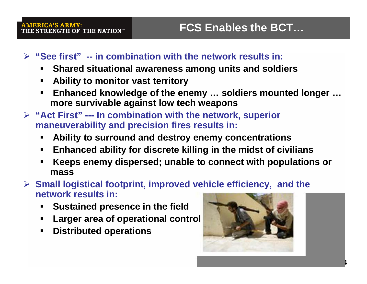## ¾ **"See first" -- in combination with the network results in:**

- **Shared situational awareness among units and soldiers**
- $\blacksquare$ **Ability to monitor vast territory**
- $\blacksquare$  **Enhanced knowledge of the enemy … soldiers mounted longer … more survivable against low tech weapons**
- ¾ **"Act First" --- In combination with the network, superior maneuverability and precision fires results in:**
	- $\blacksquare$ **Ability to surround and destroy enemy concentrations**
	- $\blacksquare$ **Enhanced ability for discrete killing in the midst of civilians**
	- **Keeps enemy dispersed; unable to connect with populations or mass**

¾ **Small logistical footprint, improved vehicle efficiency, and the network results in:**

- $\blacksquare$ **Sustained presence in the field**
- $\blacksquare$ **Larger area of operational control**
- $\blacksquare$ **Distributed operations**



**Army Strong 4**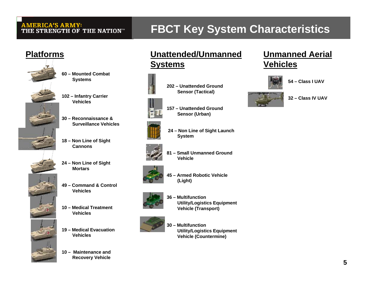# **FBCT Key System Characteristics**

### **Platforms**



**102 – Infantry Carrier Vehicles** 

**60 – Mounted Combat Systems**

- **30 – Reconnaissance & Surveillance Vehicles**
- **18 – Non Line of Sight Cannons**
- **24 – Non Line of Sight Mortars**





- **49 – Command & Control Vehicles**
- **10 – Medical Treatment Vehicles**
- **19 – Medical Evacuation Vehicles**

**10 – Maintenance and Recovery Vehicle** 

## **Unattended/Unmanned Systems**

**202 – Unattended Ground** 



**Sensor (Tactical)** 



**157 – Unattended Ground Sensor (Urban)** 



**24 – Non Line of Sight Launch System**





**45 – Armed Robotic Vehicle (Light)** 



**36 – Multifunction Utility/Logistics Equipment Vehicle (Transport)** 



**30 – Multifunction Utility/Logistics Equipment Vehicle (Countermine)** 

### **Unmanned Aerial Vehicles**







**32 – Class IV UAV**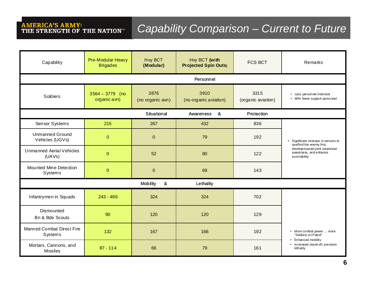# **AMERICA'S ARMY:<br>THE STRENGTH OF THE NATION**<sup>\*\*</sup>

# *Capability Comparison – Current to Future*

| Capability                                             | Pre-Modular Heavy<br><b>Brigades</b> | <b>Hvy BCT</b><br>(Modular) | Hvy BCT (with<br><b>Projected Spin Outs</b> ) | <b>FCS BCT</b>             | Remarks                                                                                                                                         |
|--------------------------------------------------------|--------------------------------------|-----------------------------|-----------------------------------------------|----------------------------|-------------------------------------------------------------------------------------------------------------------------------------------------|
| Personnel                                              |                                      |                             |                                               |                            |                                                                                                                                                 |
| Soldiers                                               | $3564 - 3779$ (no<br>organic avn)    | 3876<br>(no organic avn)    | 3910<br>(no organic aviation)                 | 3315<br>(organic aviation) | • Less personnel intensive<br>• 60% fewer support personnel                                                                                     |
| <u>&amp;</u><br>Situational<br>Protection<br>Awareness |                                      |                             |                                               |                            |                                                                                                                                                 |
| Sensor Systems                                         | 215                                  | 267                         | 432                                           | 836                        |                                                                                                                                                 |
| <b>Unmanned Ground</b><br>Vehicles (UGVs)              | $\overline{0}$                       | $\overline{0}$              | 79                                            | 192                        | Significant increase in sensors to<br>see/find the enemy first,<br>develop/sustain joint situational<br>awareness, and enhance<br>survivability |
| <b>Unmanned Aerial Vehicles</b><br>(UAVs)              | $\overline{0}$                       | 52                          | 80                                            | 122                        |                                                                                                                                                 |
| Mounted Mine Detection<br>Systems                      | $\mathbf 0$                          | $\mathbf{0}$                | 69                                            | 143                        |                                                                                                                                                 |
| Mobility<br>$\boldsymbol{\alpha}$<br>Lethality         |                                      |                             |                                               |                            |                                                                                                                                                 |
| Infantrymen in Squads                                  | $243 - 486$                          | 324                         | 324                                           | 702                        |                                                                                                                                                 |
| Dismounted<br>Bn & Bde Scouts                          | 90                                   | 120                         | 120                                           | 129                        |                                                                                                                                                 |
| Manned Combat Direct Fire<br>Systems                   | 132                                  | 167                         | 166                                           | 192                        | • More combat power  more<br>"Soldiers on Patrol"                                                                                               |
| Mortars, Cannons, and<br><b>Missiles</b>               | $87 - 114$                           | 66                          | 79                                            | 161                        | • Enhanced mobility<br>• Increased stand-off, precision<br>lethality                                                                            |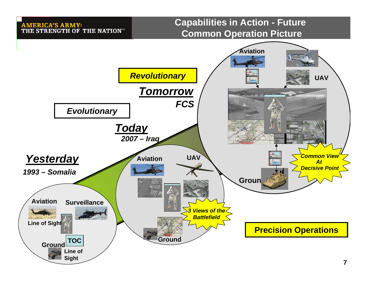### **Capabilities in Action - Future Common Operation Picture**

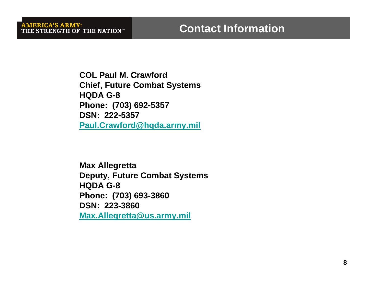**COL Paul M. CrawfordChief, Future Combat Systems HQDA G-8 Phone: (703) 692-5357 DSN: 222-5357Paul.Crawford@hqda.army.mil**

**Max Allegretta Deputy, Future Combat Systems HQDA G-8 Phone: (703) 693-3860 DSN: 223-3860Max.Allegretta@us.army.mil**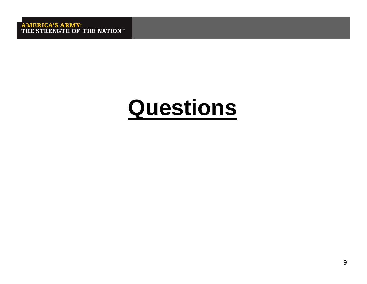# **Questions**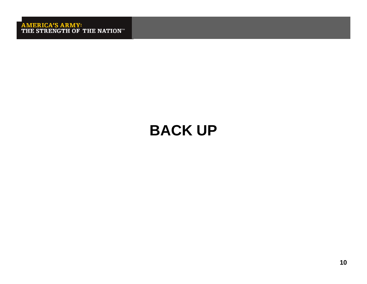# **BACK UP**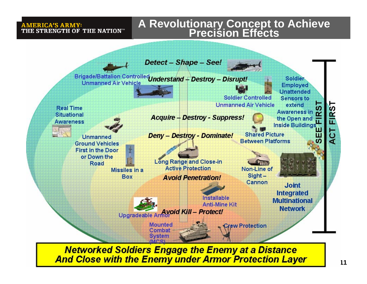# **A Revolutionary Concept to Achieve Precision Effects**